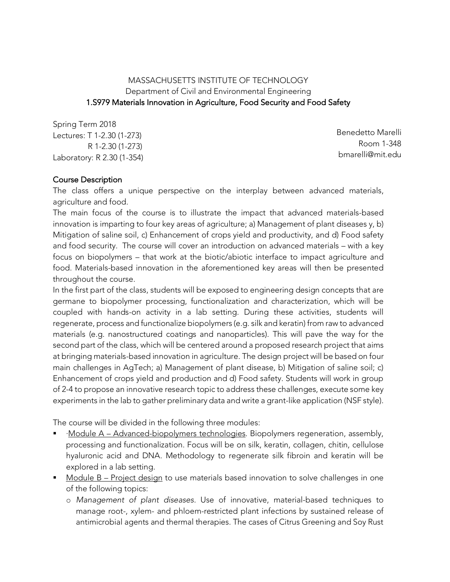## MASSACHUSETTS INSTITUTE OF TECHNOLOGY Department of Civil and Environmental Engineering 1.S979 Materials Innovation in Agriculture, Food Security and Food Safety

Spring Term 2018 Lectures: T 1-2.30 (1-273) R 1-2.30 (1-273) Laboratory: R 2.30 (1-354)

Benedetto Marelli Room 1-348 bmarelli@mit.edu

### Course Description

The class offers a unique perspective on the interplay between advanced materials, agriculture and food.

The main focus of the course is to illustrate the impact that advanced materials-based innovation is imparting to four key areas of agriculture; a) Management of plant diseases y, b) Mitigation of saline soil, c) Enhancement of crops yield and productivity, and d) Food safety and food security. The course will cover an introduction on advanced materials – with a key focus on biopolymers – that work at the biotic/abiotic interface to impact agriculture and food. Materials-based innovation in the aforementioned key areas will then be presented throughout the course.

In the first part of the class, students will be exposed to engineering design concepts that are germane to biopolymer processing, functionalization and characterization, which will be coupled with hands-on activity in a lab setting. During these activities, students will regenerate, process and functionalize biopolymers (e.g. silk and keratin) from raw to advanced materials (e.g. nanostructured coatings and nanoparticles). This will pave the way for the second part of the class, which will be centered around a proposed research project that aims at bringing materials-based innovation in agriculture. The design project will be based on four main challenges in AgTech; a) Management of plant disease, b) Mitigation of saline soil; c) Enhancement of crops yield and production and d) Food safety. Students will work in group of 2-4 to propose an innovative research topic to address these challenges, execute some key experiments in the lab to gather preliminary data and write a grant-like application (NSF style).

The course will be divided in the following three modules:

- § ·Module A Advanced-biopolymers technologies. Biopolymers regeneration, assembly, processing and functionalization. Focus will be on silk, keratin, collagen, chitin, cellulose hyaluronic acid and DNA. Methodology to regenerate silk fibroin and keratin will be explored in a lab setting.
- Module B Project design to use materials based innovation to solve challenges in one of the following topics:
	- o *Management of plant diseases*. Use of innovative, material-based techniques to manage root-, xylem- and phloem-restricted plant infections by sustained release of antimicrobial agents and thermal therapies. The cases of Citrus Greening and Soy Rust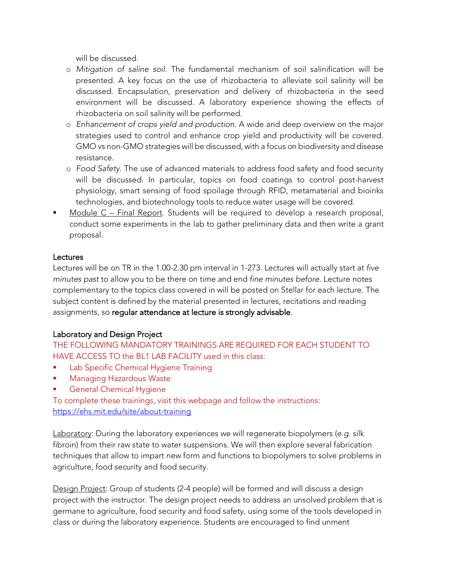will be discussed.

- o *Mitigation of saline soil*. The fundamental mechanism of soil salinification will be presented. A key focus on the use of rhizobacteria to alleviate soil salinity will be discussed. Encapsulation, preservation and delivery of rhizobacteria in the seed environment will be discussed. A laboratory experience showing the effects of rhizobacteria on soil salinity will be performed.
- o *Enhancement of crops yield and production*. A wide and deep overview on the major strategies used to control and enhance crop yield and productivity will be covered. GMO vs non-GMO strategies will be discussed, with a focus on biodiversity and disease resistance.
- o *Food Safety*. The use of advanced materials to address food safety and food security will be discussed. In particular, topics on food coatings to control post-harvest physiology, smart sensing of food spoilage through RFID, metamaterial and bioinks technologies, and biotechnology tools to reduce water usage will be covered.
- § Module C Final Report. Students will be required to develop a research proposal, conduct some experiments in the lab to gather preliminary data and then write a grant proposal.

#### Lectures

Lectures will be on TR in the 1.00-2.30 pm interval in 1-273. Lectures will actually start at *five minutes past* to allow you to be there on time and end *fine minutes before*. Lecture notes complementary to the topics class covered in will be posted on Stellar for each lecture. The subject content is defined by the material presented in lectures, recitations and reading assignments, so regular attendance at lecture is strongly advisable.

# Laboratory and Design Project

THE FOLLOWING MANDATORY TRAININGS ARE REQUIRED FOR EACH STUDENT TO HAVE ACCESS TO the BL1 LAB FACILITY used in this class:

- Lab Specific Chemical Hygiene Training
- § Managing Hazardous Waste
- § General Chemical Hygiene

To complete these trainings, visit this webpage and follow the instructions: https://ehs.mit.edu/site/about-training

Laboratory: During the laboratory experiences we will regenerate biopolymers (*e.g.* silk fibroin) from their raw state to water suspensions. We will then explore several fabrication techniques that allow to impart new form and functions to biopolymers to solve problems in agriculture, food security and food security.

Design Project: Group of students (2-4 people) will be formed and will discuss a design project with the instructor. The design project needs to address an unsolved problem that is germane to agriculture, food security and food safety, using some of the tools developed in class or during the laboratory experience. Students are encouraged to find unment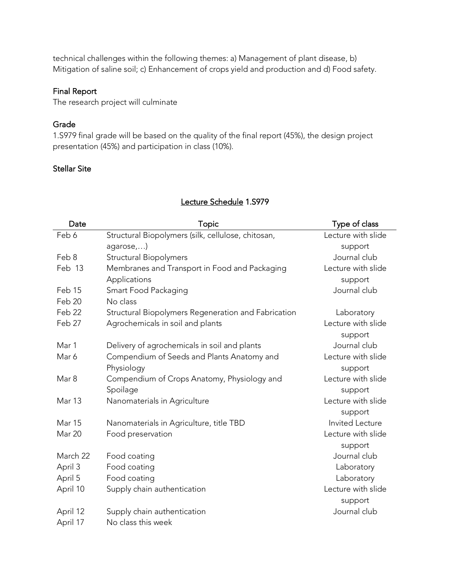technical challenges within the following themes: a) Management of plant disease, b) Mitigation of saline soil; c) Enhancement of crops yield and production and d) Food safety.

## Final Report

The research project will culminate

#### Grade

1.S979 final grade will be based on the quality of the final report (45%), the design project presentation (45%) and participation in class (10%).

## Stellar Site

| Date     | Topic                                               | Type of class          |
|----------|-----------------------------------------------------|------------------------|
| Feb 6    | Structural Biopolymers (silk, cellulose, chitosan,  | Lecture with slide     |
|          | agarose,)                                           | support                |
| Feb 8    | Structural Biopolymers                              | Journal club           |
| Feb 13   | Membranes and Transport in Food and Packaging       | Lecture with slide     |
|          | Applications                                        | support                |
| Feb 15   | Smart Food Packaging                                | Journal club           |
| Feb 20   | No class                                            |                        |
| Feb 22   | Structural Biopolymers Regeneration and Fabrication | Laboratory             |
| Feb 27   | Agrochemicals in soil and plants                    | Lecture with slide     |
|          |                                                     | support                |
| Mar 1    | Delivery of agrochemicals in soil and plants        | Journal club           |
| Mar 6    | Compendium of Seeds and Plants Anatomy and          | Lecture with slide     |
|          | Physiology                                          | support                |
| Mar 8    | Compendium of Crops Anatomy, Physiology and         | Lecture with slide     |
|          | Spoilage                                            | support                |
| Mar 13   | Nanomaterials in Agriculture                        | Lecture with slide     |
|          |                                                     | support                |
| Mar 15   | Nanomaterials in Agriculture, title TBD             | <b>Invited Lecture</b> |
| Mar 20   | Food preservation                                   | Lecture with slide     |
|          |                                                     | support                |
| March 22 | Food coating                                        | Journal club           |
| April 3  | Food coating                                        | Laboratory             |
| April 5  | Food coating                                        | Laboratory             |
| April 10 | Supply chain authentication                         | Lecture with slide     |
|          |                                                     | support                |
| April 12 | Supply chain authentication                         | Journal club           |
| April 17 | No class this week                                  |                        |

#### Lecture Schedule 1.S979